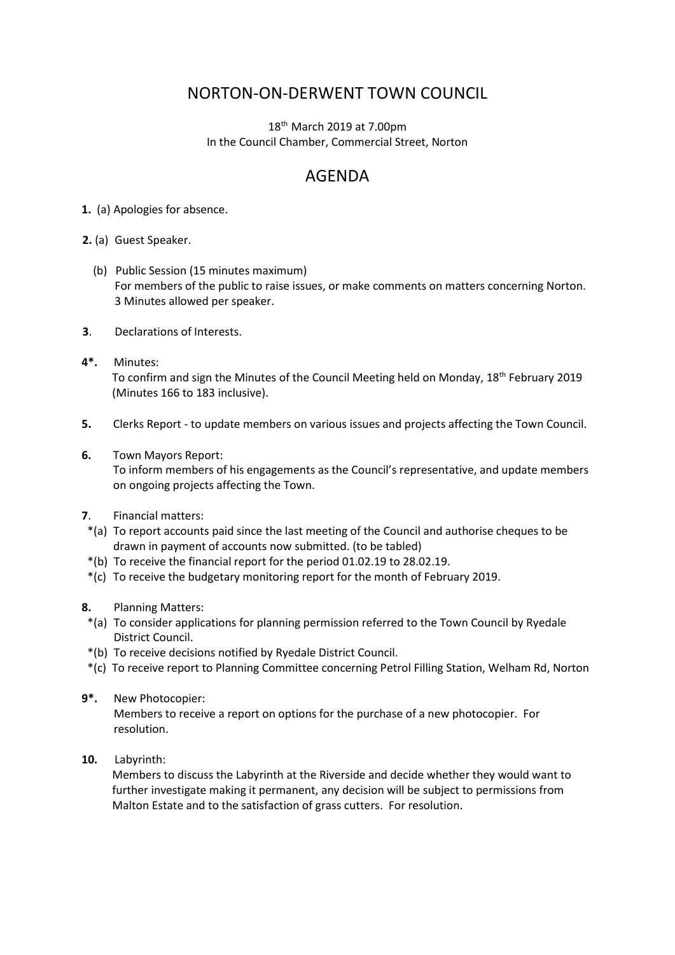## NORTON-ON-DERWENT TOWN COUNCIL

18<sup>th</sup> March 2019 at 7.00pm In the Council Chamber, Commercial Street, Norton

## AGENDA

**1.** (a) Apologies for absence.

**2.** (a) Guest Speaker.

- (b) Public Session (15 minutes maximum) For members of the public to raise issues, or make comments on matters concerning Norton. 3 Minutes allowed per speaker.
- **3**. Declarations of Interests.
- **4\*.** Minutes: To confirm and sign the Minutes of the Council Meeting held on Monday, 18<sup>th</sup> February 2019 (Minutes 166 to 183 inclusive).
- **5.** Clerks Report to update members on various issues and projects affecting the Town Council.
- **6.** Town Mayors Report:

 To inform members of his engagements as the Council's representative, and update members on ongoing projects affecting the Town.

- **7**. Financial matters:
- \*(a) To report accounts paid since the last meeting of the Council and authorise cheques to be drawn in payment of accounts now submitted. (to be tabled)
- \*(b) To receive the financial report for the period 01.02.19 to 28.02.19.
- \*(c) To receive the budgetary monitoring report for the month of February 2019.
- **8.** Planning Matters:
- \*(a) To consider applications for planning permission referred to the Town Council by Ryedale District Council.
- \*(b) To receive decisions notified by Ryedale District Council.
- \*(c) To receive report to Planning Committee concerning Petrol Filling Station, Welham Rd, Norton
- **9\*.** New Photocopier:

Members to receive a report on options for the purchase of a new photocopier. For resolution.

**10.** Labyrinth:

Members to discuss the Labyrinth at the Riverside and decide whether they would want to further investigate making it permanent, any decision will be subject to permissions from Malton Estate and to the satisfaction of grass cutters. For resolution.